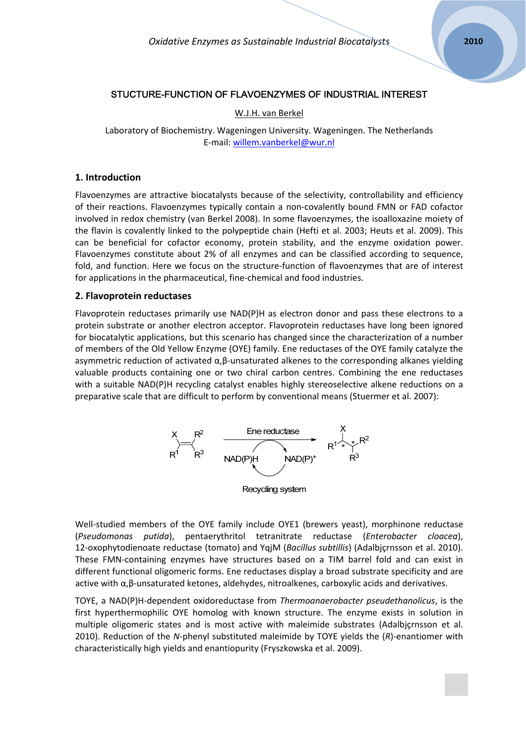# STUCTURE-FUNCTION OF FLAVOENZYMES OF INDUSTRIAL INTEREST

## W.J.H. van Berkel

Laboratory of Biochemistry. Wageningen University. Wageningen. The Netherlands E‐mail: [willem.vanberkel@wur.nl](mailto:willem.vanberkel@wur.nl)

## **1. Introduction**

Flavoenzymes are attractive biocatalysts because of the selectivity, controllability and efficiency of their reactions. Flavoenzymes typically contain a non‐covalently bound FMN or FAD cofactor involved in redox chemistry (van Berkel 2008). In some flavoenzymes, the isoalloxazine moiety of the flavin is covalently linked to the polypeptide chain (Hefti et al. 2003; Heuts et al. 2009). This can be beneficial for cofactor economy, protein stability, and the enzyme oxidation power. Flavoenzymes constitute about 2% of all enzymes and can be classified according to sequence, fold, and function. Here we focus on the structure‐function of flavoenzymes that are of interest for applications in the pharmaceutical, fine‐chemical and food industries.

#### **2. Flavoprotein reductases**

Flavoprotein reductases primarily use NAD(P)H as electron donor and pass these electrons to a protein substrate or another electron acceptor. Flavoprotein reductases have long been ignored for biocatalytic applications, but this scenario has changed since the characterization of a number of members of the Old Yellow Enzyme (OYE) family. Ene reductases of the OYE family catalyze the asymmetric reduction of activated  $\alpha$ , $\beta$ -unsaturated alkenes to the corresponding alkanes yielding valuable products containing one or two chiral carbon centres. Combining the ene reductases with a suitable NAD(P)H recycling catalyst enables highly stereoselective alkene reductions on a preparative scale that are difficult to perform by conventional means (Stuermer et al. 2007):



Well-studied members of the OYE family include OYE1 (brewers yeast), morphinone reductase (*Pseudomonas putida*), pentaerythritol tetranitrate reductase (*Enterobacter cloacea*), 12‐oxophytodienoate reductase (tomato) and YqjM (*Bacillus subtillis*) (Adalbjçrnsson et al. 2010). These FMN‐containing enzymes have structures based on a TIM barrel fold and can exist in different functional oligomeric forms. Ene reductases display a broad substrate specificity and are active with α,β‐unsaturated ketones, aldehydes, nitroalkenes, carboxylic acids and derivatives.

TOYE, a NAD(P)H‐dependent oxidoreductase from *Thermoanaerobacter pseudethanolicus*, is the first hyperthermophilic OYE homolog with known structure. The enzyme exists in solution in multiple oligomeric states and is most active with maleimide substrates (Adalbjçrnsson et al. 2010). Reduction of the *N*‐phenyl substituted maleimide by TOYE yields the (*R*)‐enantiomer with characteristically high yields and enantiopurity (Fryszkowska et al. 2009).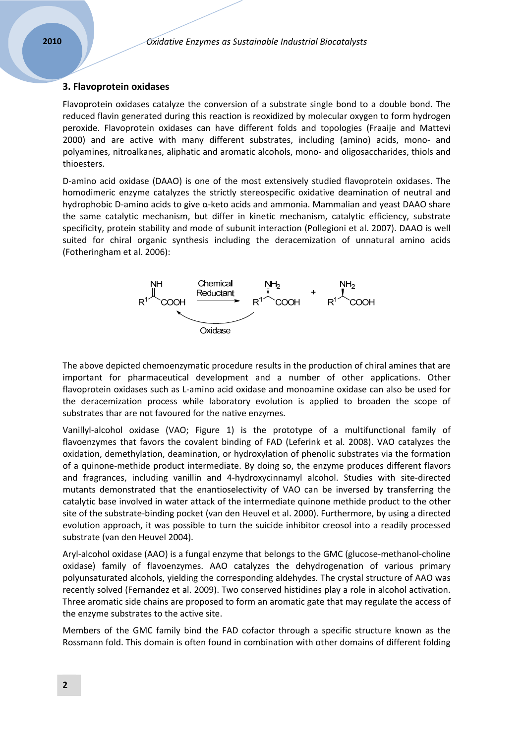# **3. Flavoprotein oxidases**

Flavoprotein oxidases catalyze the conversion of a substrate single bond to a double bond. The reduced flavin generated during this reaction is reoxidized by molecular oxygen to form hydrogen peroxide. Flavoprotein oxidases can have different folds and topologies (Fraaije and Mattevi 2000) and are active with many different substrates, including (amino) acids, mono‐ and polyamines, nitroalkanes, aliphatic and aromatic alcohols, mono‐ and oligosaccharides, thiols and thioesters.

D‐amino acid oxidase (DAAO) is one of the most extensively studied flavoprotein oxidases. The homodimeric enzyme catalyzes the strictly stereospecific oxidative deamination of neutral and hydrophobic D‐amino acids to give α‐keto acids and ammonia. Mammalian and yeast DAAO share the same catalytic mechanism, but differ in kinetic mechanism, catalytic efficiency, substrate specificity, protein stability and mode of subunit interaction (Pollegioni et al. 2007). DAAO is well suited for chiral organic synthesis including the deracemization of unnatural amino acids (Fotheringham et al. 2006):



The above depicted chemoenzymatic procedure results in the production of chiral amines that are important for pharmaceutical development and a number of other applications. Other flavoprotein oxidases such as L‐amino acid oxidase and monoamine oxidase can also be used for the deracemization process while laboratory evolution is applied to broaden the scope of substrates thar are not favoured for the native enzymes.

Vanillyl‐alcohol oxidase (VAO; Figure 1) is the prototype of a multifunctional family of flavoenzymes that favors the covalent binding of FAD (Leferink et al. 2008). VAO catalyzes the oxidation, demethylation, deamination, or hydroxylation of phenolic substrates via the formation of a quinone‐methide product intermediate. By doing so, the enzyme produces different flavors and fragrances, including vanillin and 4-hydroxycinnamyl alcohol. Studies with site-directed mutants demonstrated that the enantioselectivity of VAO can be inversed by transferring the catalytic base involved in water attack of the intermediate quinone methide product to the other site of the substrate‐binding pocket (van den Heuvel et al. 2000). Furthermore, by using a directed evolution approach, it was possible to turn the suicide inhibitor creosol into a readily processed substrate (van den Heuvel 2004).

Aryl-alcohol oxidase (AAO) is a fungal enzyme that belongs to the GMC (glucose-methanol-choline oxidase) family of flavoenzymes. AAO catalyzes the dehydrogenation of various primary polyunsaturated alcohols, yielding the corresponding aldehydes. The crystal structure of AAO was recently solved (Fernandez et al. 2009). Two conserved histidines play a role in alcohol activation. Three aromatic side chains are proposed to form an aromatic gate that may regulate the access of the enzyme substrates to the active site.

Members of the GMC family bind the FAD cofactor through a specific structure known as the Rossmann fold. This domain is often found in combination with other domains of different folding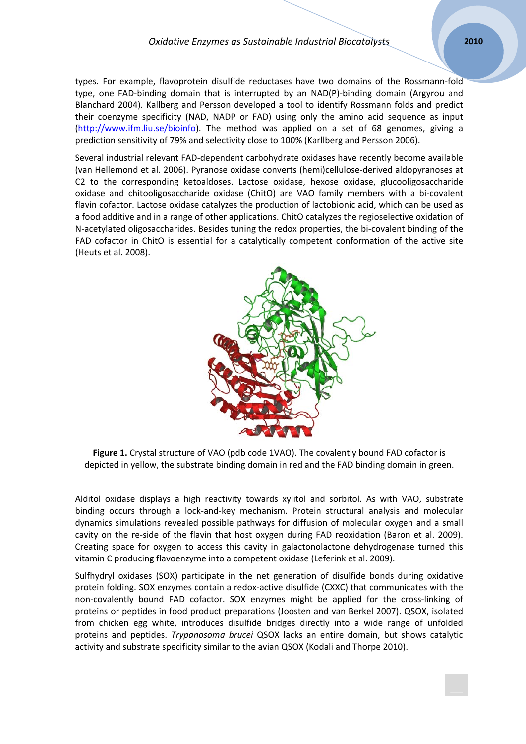# *Oxidative Enzymes as Sustainable Industrial Biocatalysts* **2010**

types. For example, flavoprotein disulfide reductases have two domains of the Rossmann‐fold type, one FAD‐binding domain that is interrupted by an NAD(P)‐binding domain (Argyrou and Blanchard 2004). Kallberg and Persson developed a tool to identify Rossmann folds and predict their coenzyme specificity (NAD, NADP or FAD) using only the amino acid sequence as input [\(http://www.ifm.liu.se/bioinfo\)](http://www.ifm.liu.se/bioinfo). The method was applied on a set of 68 genomes, giving a prediction sensitivity of 79% and selectivity close to 100% (Karllberg and Persson 2006).

Several industrial relevant FAD‐dependent carbohydrate oxidases have recently become available (van Hellemond et al. 2006). Pyranose oxidase converts (hemi)cellulose‐derived aldopyranoses at C2 to the corresponding ketoaldoses. Lactose oxidase, hexose oxidase, glucooligosaccharide oxidase and chitooligosaccharide oxidase (ChitO) are VAO family members with a bi‐covalent flavin cofactor. Lactose oxidase catalyzes the production of lactobionic acid, which can be used as a food additive and in a range of other applications. ChitO catalyzes the regioselective oxidation of N‐acetylated oligosaccharides. Besides tuning the redox properties, the bi‐covalent binding of the FAD cofactor in ChitO is essential for a catalytically competent conformation of the active site (Heuts et al. 2008).



**Figure 1.** Crystal structure of VAO (pdb code 1VAO). The covalently bound FAD cofactor is depicted in yellow, the substrate binding domain in red and the FAD binding domain in green.

Alditol oxidase displays a high reactivity towards xylitol and sorbitol. As with VAO, substrate binding occurs through a lock‐and‐key mechanism. Protein structural analysis and molecular dynamics simulations revealed possible pathways for diffusion of molecular oxygen and a small cavity on the re-side of the flavin that host oxygen during FAD reoxidation (Baron et al. 2009). Creating space for oxygen to access this cavity in galactonolactone dehydrogenase turned this vitamin C producing flavoenzyme into a competent oxidase (Leferink et al. 2009).

Sulfhydryl oxidases (SOX) participate in the net generation of disulfide bonds during oxidative protein folding. SOX enzymes contain a redox-active disulfide (CXXC) that communicates with the non-covalently bound FAD cofactor. SOX enzymes might be applied for the cross-linking of proteins or peptides in food product preparations (Joosten and van Berkel 2007). QSOX, isolated from chicken egg white, introduces disulfide bridges directly into a wide range of unfolded proteins and peptides. *Trypanosoma brucei* QSOX lacks an entire domain, but shows catalytic activity and substrate specificity similar to the avian QSOX (Kodali and Thorpe 2010).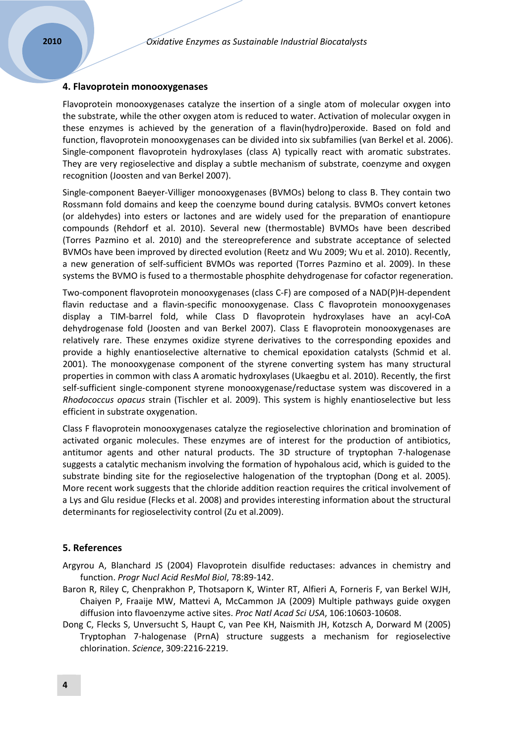### **4. Flavoprotein monooxygenases**

Flavoprotein monooxygenases catalyze the insertion of a single atom of molecular oxygen into the substrate, while the other oxygen atom is reduced to water. Activation of molecular oxygen in these enzymes is achieved by the generation of a flavin(hydro)peroxide. Based on fold and function, flavoprotein monooxygenases can be divided into six subfamilies (van Berkel et al. 2006). Single‐component flavoprotein hydroxylases (class A) typically react with aromatic substrates. They are very regioselective and display a subtle mechanism of substrate, coenzyme and oxygen recognition (Joosten and van Berkel 2007).

Single‐component Baeyer‐Villiger monooxygenases (BVMOs) belong to class B. They contain two Rossmann fold domains and keep the coenzyme bound during catalysis. BVMOs convert ketones (or aldehydes) into esters or lactones and are widely used for the preparation of enantiopure compounds (Rehdorf et al. 2010). Several new (thermostable) BVMOs have been described (Torres Pazmino et al. 2010) and the stereopreference and substrate acceptance of selected BVMOs have been improved by directed evolution (Reetz and Wu 2009; Wu et al. 2010). Recently, a new generation of self‐sufficient BVMOs was reported (Torres Pazmino et al. 2009). In these systems the BVMO is fused to a thermostable phosphite dehydrogenase for cofactor regeneration.

Two-component flavoprotein monooxygenases (class C-F) are composed of a NAD(P)H-dependent flavin reductase and a flavin‐specific monooxygenase. Class C flavoprotein monooxygenases display a TIM‐barrel fold, while Class D flavoprotein hydroxylases have an acyl‐CoA dehydrogenase fold (Joosten and van Berkel 2007). Class E flavoprotein monooxygenases are relatively rare. These enzymes oxidize styrene derivatives to the corresponding epoxides and provide a highly enantioselective alternative to chemical epoxidation catalysts (Schmid et al. 2001). The monooxygenase component of the styrene converting system has many structural properties in common with class A aromatic hydroxylases (Ukaegbu et al. 2010). Recently, the first self-sufficient single-component styrene monooxygenase/reductase system was discovered in a *Rhodococcus opacus* strain (Tischler et al. 2009). This system is highly enantioselective but less efficient in substrate oxygenation.

Class F flavoprotein monooxygenases catalyze the regioselective chlorination and bromination of activated organic molecules. These enzymes are of interest for the production of antibiotics, antitumor agents and other natural products. The 3D structure of tryptophan 7‐halogenase suggests a catalytic mechanism involving the formation of hypohalous acid, which is guided to the substrate binding site for the regioselective halogenation of the tryptophan (Dong et al. 2005). More recent work suggests that the chloride addition reaction requires the critical involvement of a Lys and Glu residue (Flecks et al. 2008) and provides interesting information about the structural determinants for regioselectivity control (Zu et al.2009).

## **5. References**

- Argyrou A, Blanchard JS (2004) Flavoprotein disulfide reductases: advances in chemistry and function. *Progr Nucl Acid ResMol Biol*, 78:89‐142.
- Baron R, Riley C, Chenprakhon P, Thotsaporn K, Winter RT, Alfieri A, Forneris F, van Berkel WJH, Chaiyen P, Fraaije MW, Mattevi A, McCammon JA (2009) Multiple pathways guide oxygen diffusion into flavoenzyme active sites. *Proc Natl Acad Sci USA*, 106:10603‐10608.
- Dong C, Flecks S, Unversucht S, Haupt C, van Pee KH, Naismith JH, Kotzsch A, Dorward M (2005) Tryptophan 7‐halogenase (PrnA) structure suggests a mechanism for regioselective chlorination. *Science*, 309:2216‐2219.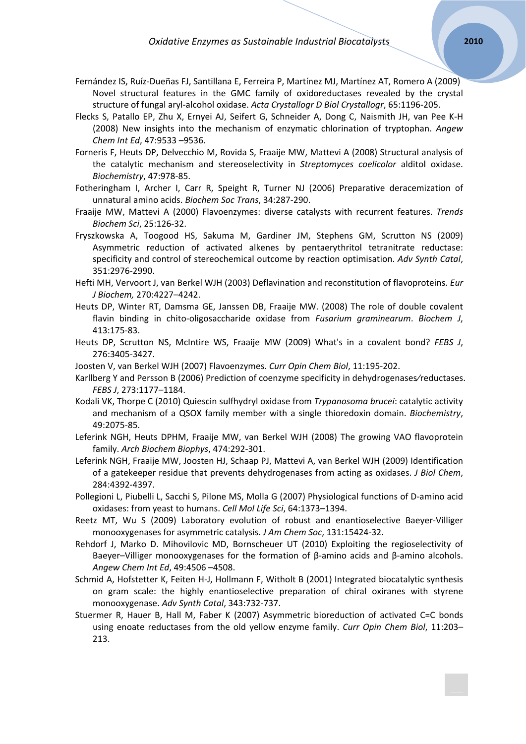- Fernández IS, Ruíz‐Dueñas FJ, Santillana E, Ferreira P, Martínez MJ, Martínez AT, Romero A (2009) Novel structural features in the GMC family of oxidoreductases revealed by the crystal structure of fungal aryl‐alcohol oxidase. *Acta Crystallogr D Biol Crystallogr*, 65:1196‐205.
- Flecks S, Patallo EP, Zhu X, Ernyei AJ, Seifert G, Schneider A, Dong C, Naismith JH, van Pee K‐H (2008) New insights into the mechanism of enzymatic chlorination of tryptophan. *Angew Chem Int Ed*, 47:9533 –9536.
- Forneris F, Heuts DP, Delvecchio M, Rovida S, Fraaije MW, Mattevi A (2008) Structural analysis of the catalytic mechanism and stereoselectivity in *Streptomyces coelicolor* alditol oxidase. *Biochemistry*, 47:978‐85.
- Fotheringham I, Archer I, Carr R, Speight R, Turner NJ (2006) Preparative deracemization of unnatural amino acids. *Biochem Soc Trans*, 34:287‐290.
- Fraaije MW, Mattevi A (2000) Flavoenzymes: diverse catalysts with recurrent features. *Trends Biochem Sci*, 25:126‐32.
- Fryszkowska A, Toogood HS, Sakuma M, Gardiner JM, Stephens GM, Scrutton NS (2009) Asymmetric reduction of activated alkenes by pentaerythritol tetranitrate reductase: specificity and control of stereochemical outcome by reaction optimisation. *Adv Synth Catal*, 351:2976‐2990.
- Hefti MH, Vervoort J, van Berkel WJH (2003) Deflavination and reconstitution of flavoproteins. *Eur J Biochem,* 270:4227–4242.
- Heuts DP, Winter RT, Damsma GE, Janssen DB, Fraaije MW. (2008) The role of double covalent flavin binding in chito‐oligosaccharide oxidase from *Fusarium graminearum*. *Biochem J*, 413:175‐83.
- Heuts DP, Scrutton NS, McIntire WS, Fraaije MW (2009) What's in a covalent bond? *FEBS J*, 276:3405‐3427.
- Joosten V, van Berkel WJH (2007) Flavoenzymes. *Curr Opin Chem Biol*, 11:195‐202.
- Karllberg Y and Persson B (2006) Prediction of coenzyme specificity in dehydrogenases⁄reductases. *FEBS J*, 273:1177–1184.
- Kodali VK, Thorpe C (2010) Quiescin sulfhydryl oxidase from *Trypanosoma brucei*: catalytic activity and mechanism of a QSOX family member with a single thioredoxin domain. *Biochemistry*, 49:2075‐85.
- Leferink NGH, Heuts DPHM, Fraaije MW, van Berkel WJH (2008) The growing VAO flavoprotein family. *Arch Biochem Biophys*, 474:292‐301.
- Leferink NGH, Fraaije MW, Joosten HJ, Schaap PJ, Mattevi A, van Berkel WJH (2009) Identification of a gatekeeper residue that prevents dehydrogenases from acting as oxidases. *J Biol Chem*, 284:4392‐4397.
- Pollegioni L, Piubelli L, Sacchi S, Pilone MS, Molla G (2007) Physiological functions of D‐amino acid oxidases: from yeast to humans. *Cell Mol Life Sci*, 64:1373–1394.
- Reetz MT, Wu S (2009) Laboratory evolution of robust and enantioselective Baeyer‐Villiger monooxygenases for asymmetric catalysis. *J Am Chem Soc*, 131:15424‐32.
- Rehdorf J, Marko D. Mihovilovic MD, Bornscheuer UT (2010) Exploiting the regioselectivity of Baeyer–Villiger monooxygenases for the formation of  $\beta$ -amino acids and  $\beta$ -amino alcohols. *Angew Chem Int Ed*, 49:4506 –4508.
- Schmid A, Hofstetter K, Feiten H‐J, Hollmann F, Witholt B (2001) Integrated biocatalytic synthesis on gram scale: the highly enantioselective preparation of chiral oxiranes with styrene monooxygenase. *Adv Synth Catal*, 343:732‐737.
- Stuermer R, Hauer B, Hall M, Faber K (2007) Asymmetric bioreduction of activated C=C bonds using enoate reductases from the old yellow enzyme family. *Curr Opin Chem Biol*, 11:203– 213.